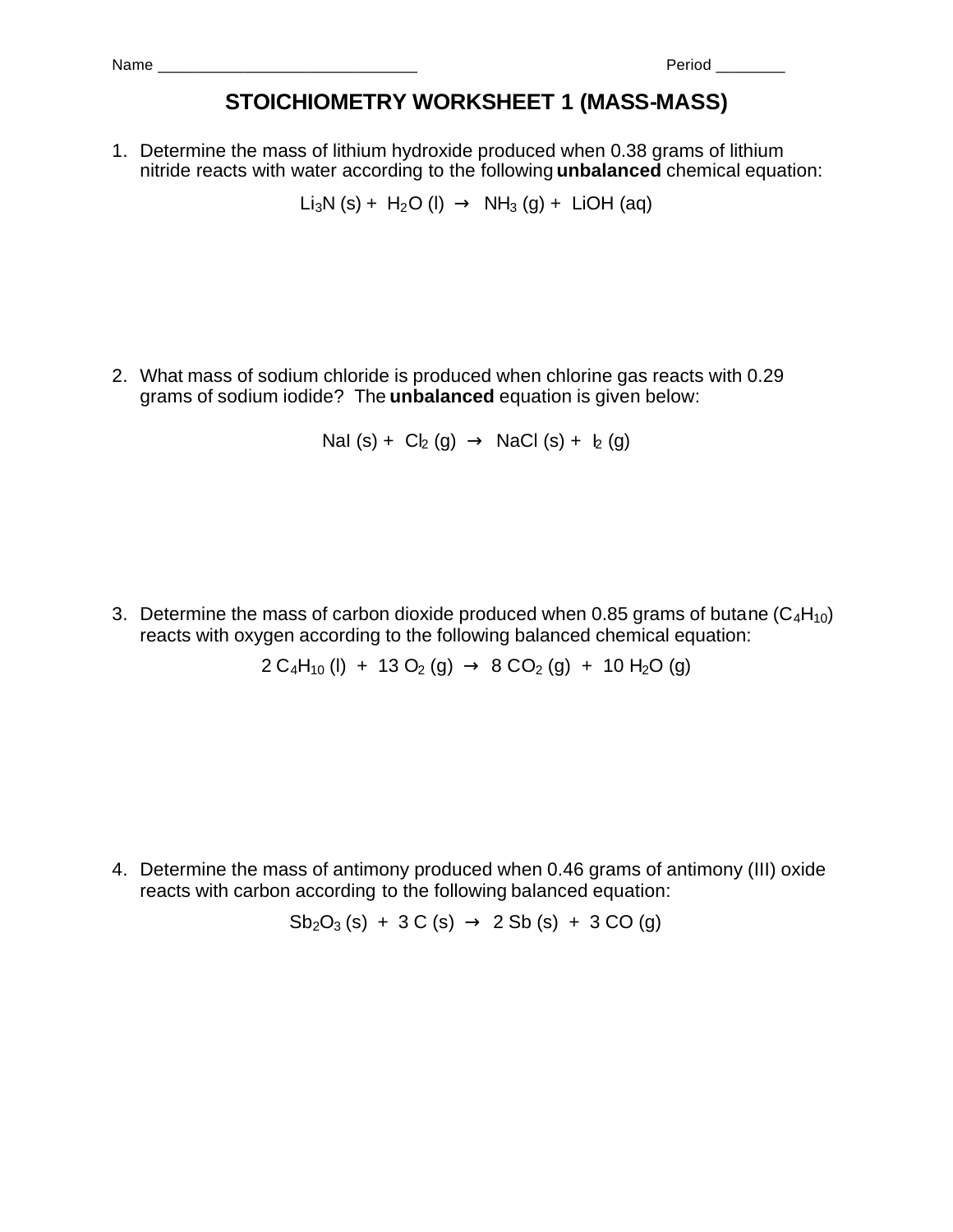| Nam | _____<br>_ |  |
|-----|------------|--|
|     |            |  |

## **STOICHIOMETRY WORKSHEET 1 (MASS-MASS)**

1. Determine the mass of lithium hydroxide produced when 0.38 grams of lithium nitride reacts with water according to the following **unbalanced** chemical equation:

Li<sub>3</sub>N (s) + H<sub>2</sub>O (l)  $\rightarrow$  NH<sub>3</sub> (g) + LiOH (aq)

2. What mass of sodium chloride is produced when chlorine gas reacts with 0.29 grams of sodium iodide? The **unbalanced** equation is given below:

NaI (s) +  $Cl_2(g) \rightarrow$  NaCl (s) +  $I_2(g)$ 

3. Determine the mass of carbon dioxide produced when 0.85 grams of butane  $(C_4H_{10})$ reacts with oxygen according to the following balanced chemical equation:

 $2 C_4H_{10}$  (l) + 13 O<sub>2</sub> (g)  $\rightarrow$  8 CO<sub>2</sub> (g) + 10 H<sub>2</sub>O (g)

4. Determine the mass of antimony produced when 0.46 grams of antimony (III) oxide reacts with carbon according to the following balanced equation:

$$
Sb_2O_3(s) + 3 C(s) \rightarrow 2 Sb(s) + 3 CO(g)
$$